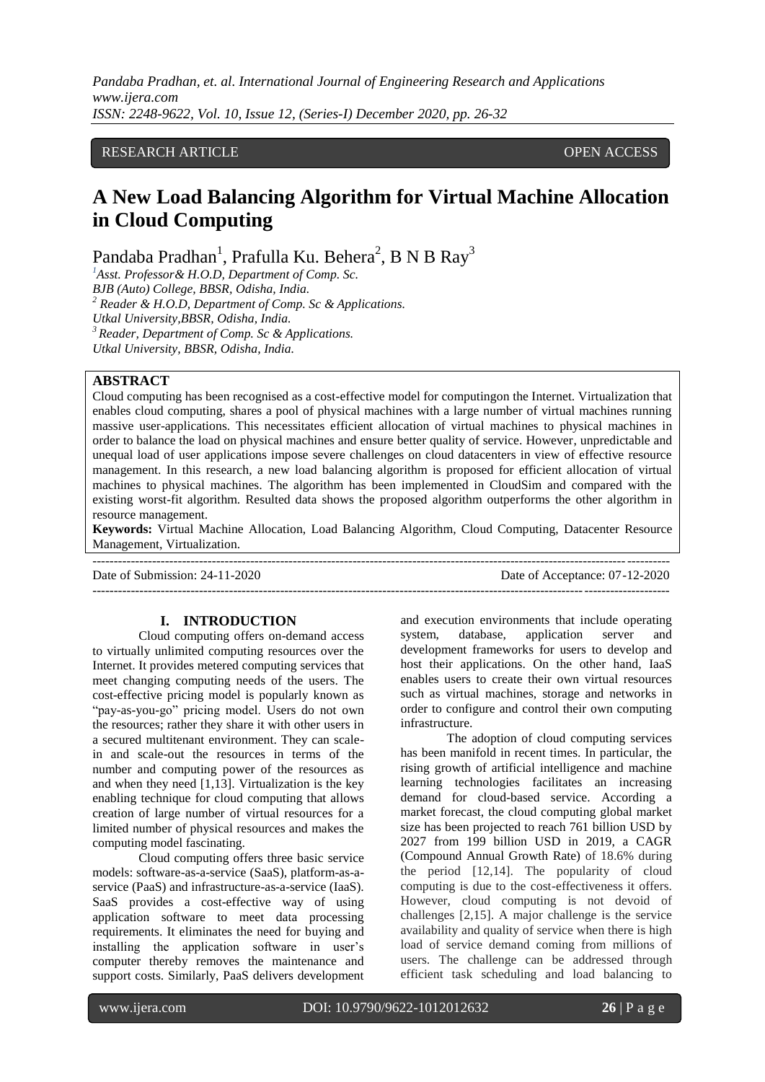*Pandaba Pradhan, et. al. International Journal of Engineering Research and Applications www.ijera.com ISSN: 2248-9622, Vol. 10, Issue 12, (Series-I) December 2020, pp. 26-32*

# RESEARCH ARTICLE **CONSERVERS** OPEN ACCESS

# **A New Load Balancing Algorithm for Virtual Machine Allocation in Cloud Computing**

Pandaba Pradhan<sup>1</sup>, Prafulla Ku. Behera<sup>2</sup>, B N B Ray<sup>3</sup>

*<sup>1</sup>Asst. Professor& H.O.D, Department of Comp. Sc. BJB (Auto) College, BBSR, Odisha, India. <sup>2</sup> Reader & H.O.D, Department of Comp. Sc & Applications. Utkal University,BBSR, Odisha, India. <sup>3</sup>Reader, Department of Comp. Sc & Applications. Utkal University, BBSR, Odisha, India.*

# **ABSTRACT**

Cloud computing has been recognised as a cost-effective model for computingon the Internet. Virtualization that enables cloud computing, shares a pool of physical machines with a large number of virtual machines running massive user-applications. This necessitates efficient allocation of virtual machines to physical machines in order to balance the load on physical machines and ensure better quality of service. However, unpredictable and unequal load of user applications impose severe challenges on cloud datacenters in view of effective resource management. In this research, a new load balancing algorithm is proposed for efficient allocation of virtual machines to physical machines. The algorithm has been implemented in CloudSim and compared with the existing worst-fit algorithm. Resulted data shows the proposed algorithm outperforms the other algorithm in resource management.

**Keywords:** Virtual Machine Allocation, Load Balancing Algorithm, Cloud Computing, Datacenter Resource Management, Virtualization.

| Date of Submission: $24-11-2020$ | Date of Acceptance: 07-12-2020 |
|----------------------------------|--------------------------------|
|                                  |                                |

# **I. INTRODUCTION**

Cloud computing offers on-demand access to virtually unlimited computing resources over the Internet. It provides metered computing services that meet changing computing needs of the users. The cost-effective pricing model is popularly known as "pay-as-you-go" pricing model. Users do not own the resources; rather they share it with other users in a secured multitenant environment. They can scalein and scale-out the resources in terms of the number and computing power of the resources as and when they need [1,13]. Virtualization is the key enabling technique for cloud computing that allows creation of large number of virtual resources for a limited number of physical resources and makes the computing model fascinating.

Cloud computing offers three basic service models: software-as-a-service (SaaS), platform-as-aservice (PaaS) and infrastructure-as-a-service (IaaS). SaaS provides a cost-effective way of using application software to meet data processing requirements. It eliminates the need for buying and installing the application software in user's computer thereby removes the maintenance and support costs. Similarly, PaaS delivers development and execution environments that include operating system, database, application server and development frameworks for users to develop and host their applications. On the other hand, IaaS enables users to create their own virtual resources such as virtual machines, storage and networks in order to configure and control their own computing infrastructure.

The adoption of cloud computing services has been manifold in recent times. In particular, the rising growth of artificial intelligence and machine learning technologies facilitates an increasing demand for cloud-based service. According a market forecast, the cloud computing global market size has been projected to reach 761 billion USD by 2027 from 199 billion USD in 2019, a CAGR (Compound Annual Growth Rate) of 18.6% during the period [12,14]. The popularity of cloud computing is due to the cost-effectiveness it offers. However, cloud computing is not devoid of challenges [2,15]. A major challenge is the service availability and quality of service when there is high load of service demand coming from millions of users. The challenge can be addressed through efficient task scheduling and load balancing to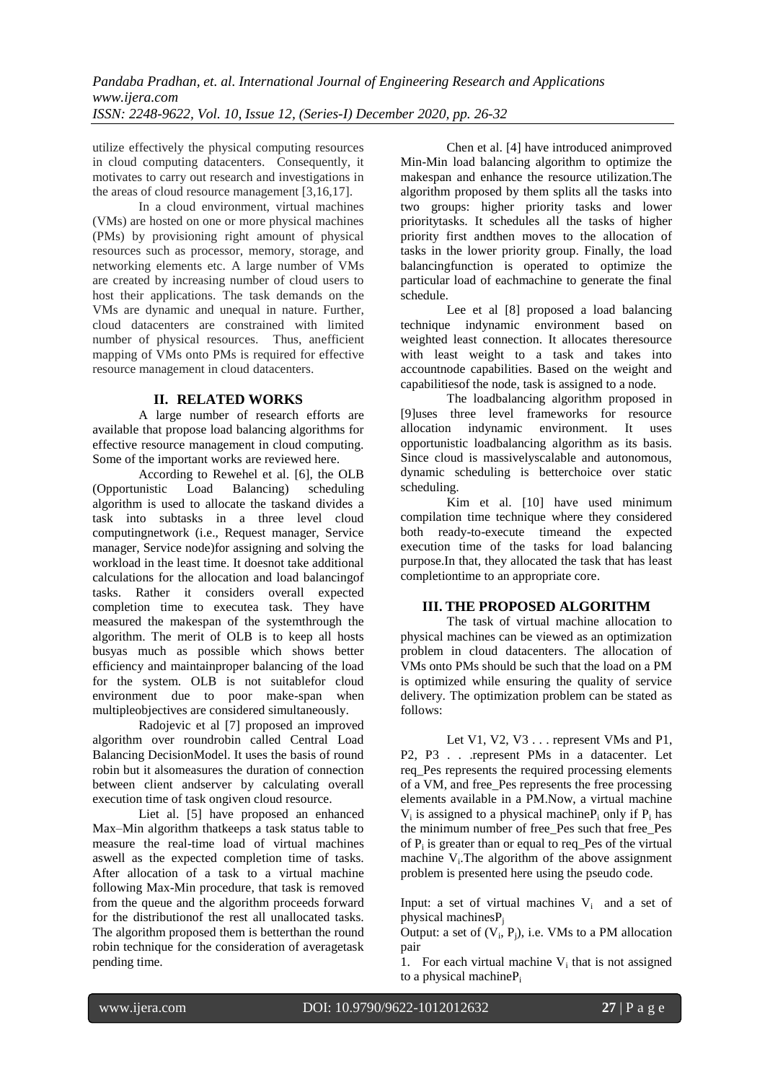utilize effectively the physical computing resources in cloud computing datacenters. Consequently, it motivates to carry out research and investigations in the areas of cloud resource management [3,16,17].

In a cloud environment, virtual machines (VMs) are hosted on one or more physical machines (PMs) by provisioning right amount of physical resources such as processor, memory, storage, and networking elements etc. A large number of VMs are created by increasing number of cloud users to host their applications. The task demands on the VMs are dynamic and unequal in nature. Further, cloud datacenters are constrained with limited number of physical resources. Thus, anefficient mapping of VMs onto PMs is required for effective resource management in cloud datacenters.

# **II. RELATED WORKS**

A large number of research efforts are available that propose load balancing algorithms for effective resource management in cloud computing. Some of the important works are reviewed here.

According to Rewehel et al. [6], the OLB (Opportunistic Load Balancing) scheduling algorithm is used to allocate the taskand divides a task into subtasks in a three level cloud computingnetwork (i.e., Request manager, Service manager, Service node)for assigning and solving the workload in the least time. It doesnot take additional calculations for the allocation and load balancingof tasks. Rather it considers overall expected completion time to executea task. They have measured the makespan of the systemthrough the algorithm. The merit of OLB is to keep all hosts busyas much as possible which shows better efficiency and maintainproper balancing of the load for the system. OLB is not suitablefor cloud environment due to poor make-span when multipleobjectives are considered simultaneously.

Radojevic et al [7] proposed an improved algorithm over roundrobin called Central Load Balancing DecisionModel. It uses the basis of round robin but it alsomeasures the duration of connection between client andserver by calculating overall execution time of task ongiven cloud resource.

Liet al. [5] have proposed an enhanced Max–Min algorithm thatkeeps a task status table to measure the real-time load of virtual machines aswell as the expected completion time of tasks. After allocation of a task to a virtual machine following Max-Min procedure, that task is removed from the queue and the algorithm proceeds forward for the distributionof the rest all unallocated tasks. The algorithm proposed them is betterthan the round robin technique for the consideration of averagetask pending time.

Chen et al. [4] have introduced animproved Min-Min load balancing algorithm to optimize the makespan and enhance the resource utilization.The algorithm proposed by them splits all the tasks into two groups: higher priority tasks and lower prioritytasks. It schedules all the tasks of higher priority first andthen moves to the allocation of tasks in the lower priority group. Finally, the load balancingfunction is operated to optimize the particular load of eachmachine to generate the final schedule.

Lee et al [8] proposed a load balancing technique indynamic environment based on weighted least connection. It allocates theresource with least weight to a task and takes into accountnode capabilities. Based on the weight and capabilitiesof the node, task is assigned to a node.

The loadbalancing algorithm proposed in [9]uses three level frameworks for resource allocation indynamic environment. It uses opportunistic loadbalancing algorithm as its basis. Since cloud is massivelyscalable and autonomous, dynamic scheduling is betterchoice over static scheduling.

Kim et al. [10] have used minimum compilation time technique where they considered both ready-to-execute timeand the expected execution time of the tasks for load balancing purpose.In that, they allocated the task that has least completiontime to an appropriate core.

### **III. THE PROPOSED ALGORITHM**

The task of virtual machine allocation to physical machines can be viewed as an optimization problem in cloud datacenters. The allocation of VMs onto PMs should be such that the load on a PM is optimized while ensuring the quality of service delivery. The optimization problem can be stated as follows:

Let V1, V2, V3 . . . represent VMs and P1, P2, P3 . . . represent PMs in a datacenter. Let req\_Pes represents the required processing elements of a VM, and free\_Pes represents the free processing elements available in a PM.Now, a virtual machine  $V_i$  is assigned to a physical machine $P_i$  only if  $P_i$  has the minimum number of free\_Pes such that free\_Pes of  $P_i$  is greater than or equal to req\_Pes of the virtual machine  $V_i$ . The algorithm of the above assignment problem is presented here using the pseudo code.

Input: a set of virtual machines  $V_i$  and a set of physical machinesP<sub>i</sub>

Output: a set of  $(V_i, P_j)$ , i.e. VMs to a PM allocation pair

1. For each virtual machine  $V_i$  that is not assigned to a physical machineP<sub>i</sub>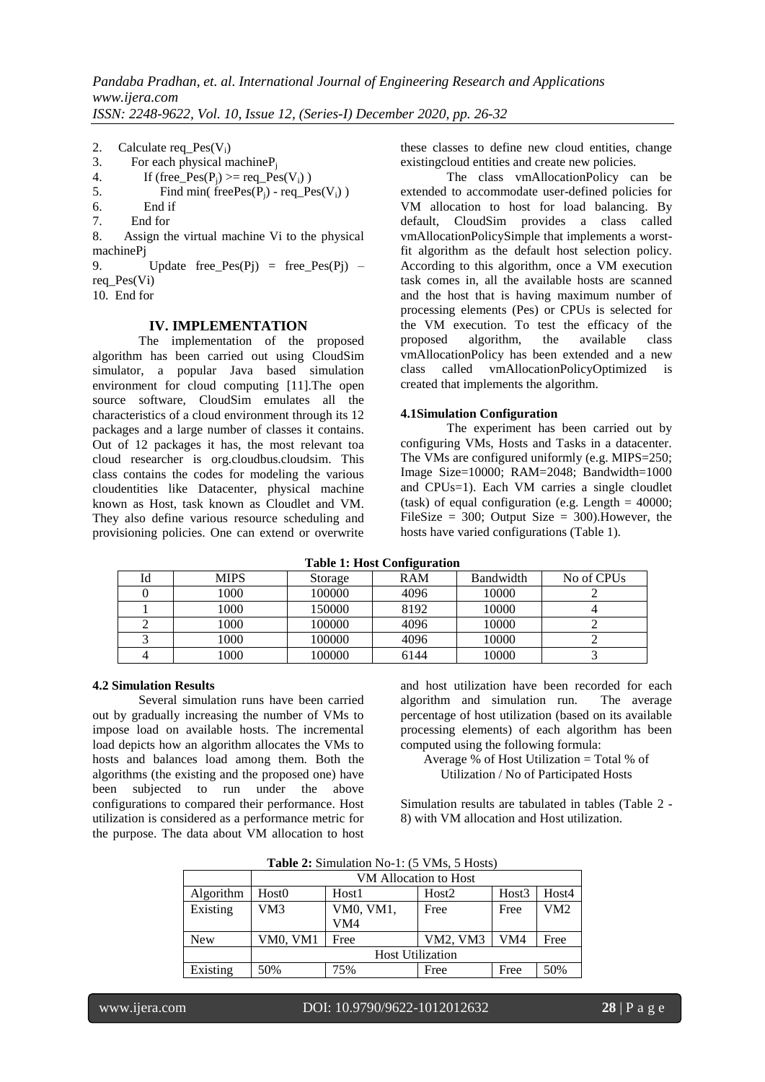- 2. Calculate req\_Pes( $V_i$ )<br>3. For each physical m
- 3. For each physical machine  $P_j$ <br>4. If (free Pes(P;)  $> =$  req Pes
- 4. If (free\_Pes(P<sub>j</sub>) >= req\_Pes(V<sub>i</sub>))<br>5. Find min( freePes(P<sub>i</sub>) req Pe
- 5. Find min(  $\text{freePes}(P_j)$  req\_Pes(V<sub>i</sub>) ) 6.
- 6. End if
- 7. End for

8. Assign the virtual machine Vi to the physical machinePj

9. Update free  $Pes(Pj) = free Pes(Pj)$ req\_Pes(Vi)

10. End for

#### **IV. IMPLEMENTATION**

The implementation of the proposed algorithm has been carried out using CloudSim simulator, a popular Java based simulation environment for cloud computing [11].The open source software, CloudSim emulates all the characteristics of a cloud environment through its 12 packages and a large number of classes it contains. Out of 12 packages it has, the most relevant toa cloud researcher is org.cloudbus.cloudsim. This class contains the codes for modeling the various cloudentities like Datacenter, physical machine known as Host, task known as Cloudlet and VM. They also define various resource scheduling and provisioning policies. One can extend or overwrite these classes to define new cloud entities, change existingcloud entities and create new policies.

The class vmAllocationPolicy can be extended to accommodate user-defined policies for VM allocation to host for load balancing. By default, CloudSim provides a class called vmAllocationPolicySimple that implements a worstfit algorithm as the default host selection policy. According to this algorithm, once a VM execution task comes in, all the available hosts are scanned and the host that is having maximum number of processing elements (Pes) or CPUs is selected for the VM execution. To test the efficacy of the proposed algorithm, the available class vmAllocationPolicy has been extended and a new class called vmAllocationPolicyOptimized is created that implements the algorithm.

#### **4.1Simulation Configuration**

The experiment has been carried out by configuring VMs, Hosts and Tasks in a datacenter. The VMs are configured uniformly (e.g. MIPS=250; Image Size=10000; RAM=2048; Bandwidth=1000 and CPUs=1). Each VM carries a single cloudlet (task) of equal configuration (e.g. Length  $=$  40000; FileSize =  $300$ ; Output Size =  $300$ ). However, the hosts have varied configurations (Table 1).

| Id | <b>MIPS</b> | Storage | <b>RAM</b> | <b>Bandwidth</b> | No of CPUs |
|----|-------------|---------|------------|------------------|------------|
|    | 1000        | 100000  | 4096       | 10000            |            |
|    | 1000        | 150000  | 8192       | 10000            |            |
|    | 1000        | 100000  | 4096       | 10000            |            |
|    | 1000        | 100000  | 4096       | 10000            |            |
|    | 1000        | 100000  | 6144       | 10000            |            |

**Table 1: Host Configuration**

#### **4.2 Simulation Results**

Several simulation runs have been carried out by gradually increasing the number of VMs to impose load on available hosts. The incremental load depicts how an algorithm allocates the VMs to hosts and balances load among them. Both the algorithms (the existing and the proposed one) have been subjected to run under the above configurations to compared their performance. Host utilization is considered as a performance metric for the purpose. The data about VM allocation to host and host utilization have been recorded for each algorithm and simulation run. The average percentage of host utilization (based on its available processing elements) of each algorithm has been computed using the following formula:

Average % of Host Utilization = Total % of Utilization / No of Participated Hosts

Simulation results are tabulated in tables (Table 2 - 8) with VM allocation and Host utilization.

|            | <b>Table 2.</b> Billulation <b>190-1.</b> (9 Fins, 9 Hosts) |                       |                   |       |                 |  |
|------------|-------------------------------------------------------------|-----------------------|-------------------|-------|-----------------|--|
|            |                                                             | VM Allocation to Host |                   |       |                 |  |
| Algorithm  | Host0                                                       | Host1                 | Host <sub>2</sub> | Host3 | Host4           |  |
| Existing   | VM <sub>3</sub>                                             | VM0, VM1,             | Free              | Free  | VM <sub>2</sub> |  |
|            |                                                             | VM4                   |                   |       |                 |  |
| <b>New</b> | VM0, VM1                                                    | Free                  | VM2, VM3          | VM4   | Free            |  |
|            | <b>Host Utilization</b>                                     |                       |                   |       |                 |  |
| Existing   | 50%                                                         | 75%                   | Free              | Free  | 50%             |  |

Table 2: Simulation No-1: (5 VMs, 5 Hosts)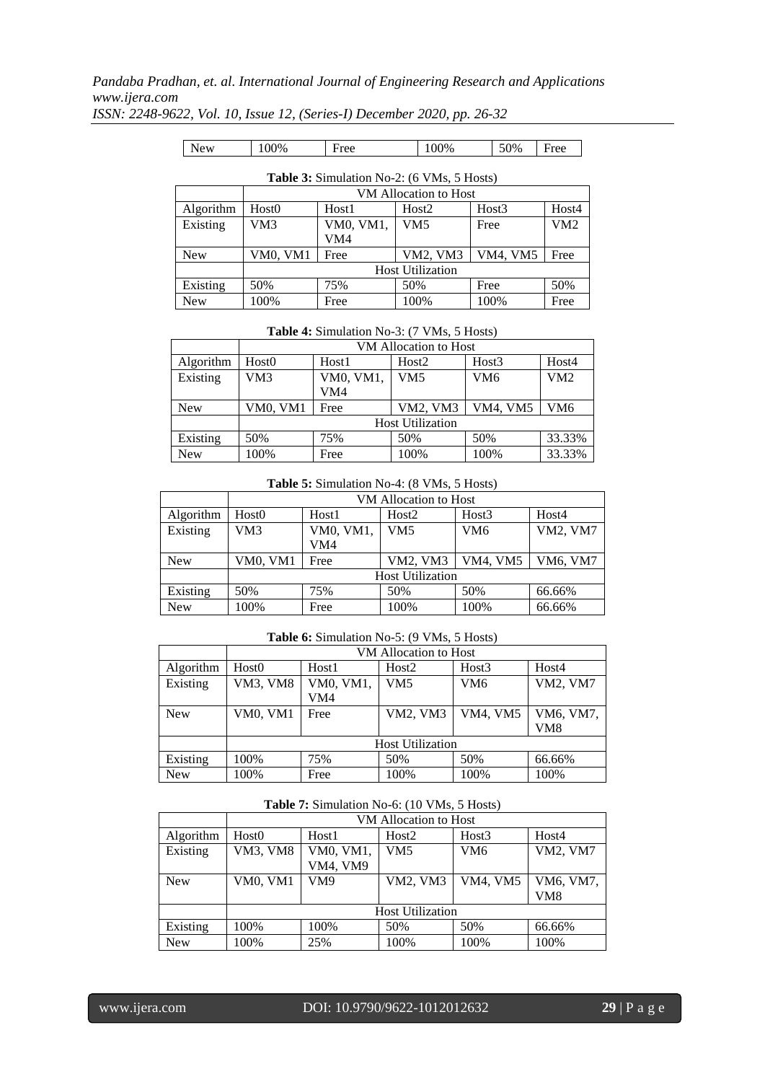# *Pandaba Pradhan, et. al. International Journal of Engineering Research and Applications www.ijera.com*

| ISSN: 2248-9622, Vol. 10, Issue 12, (Series-I) December 2020, pp. 26-32 |  |  |  |  |  |  |
|-------------------------------------------------------------------------|--|--|--|--|--|--|
|-------------------------------------------------------------------------|--|--|--|--|--|--|

| New | 100% | Free | 100% | 50% | Free |
|-----|------|------|------|-----|------|
|     |      |      |      |     |      |

| <b>Table 3:</b> Simulation No-2: (6 VMs, 5 Hosts) |                 |                         |                       |          |       |  |
|---------------------------------------------------|-----------------|-------------------------|-----------------------|----------|-------|--|
|                                                   |                 |                         | VM Allocation to Host |          |       |  |
| Algorithm                                         | Host0           | Host1                   | Host <sub>2</sub>     | Host3    | Host4 |  |
| Existing                                          | VM3             | VM0, VM1,               | VM5                   | Free     | VM2   |  |
|                                                   |                 | VM4                     |                       |          |       |  |
| <b>New</b>                                        | <b>VM0, VM1</b> | Free                    | VM2, VM3              | VM4. VM5 | Free  |  |
|                                                   |                 | <b>Host Utilization</b> |                       |          |       |  |
| Existing                                          | 50%             | 75%                     | 50%                   | Free     | 50%   |  |
| <b>New</b>                                        | 100%            | Free                    | 100%                  | 100%     | Free  |  |

#### **Table 4:** Simulation No-3: (7 VMs, 5 Hosts)

|            | VM Allocation to Host   |           |                   |                 |        |
|------------|-------------------------|-----------|-------------------|-----------------|--------|
| Algorithm  | Host0                   | Host1     | Host <sub>2</sub> | Host3           | Host4  |
| Existing   | VM3                     | VM0, VM1, | VM5               | VM <sub>6</sub> | VM2    |
|            |                         | VM4       |                   |                 |        |
| <b>New</b> | VM0, VM1                | Free      | VM2, VM3          | VM4, VM5        | VM6    |
|            | <b>Host Utilization</b> |           |                   |                 |        |
| Existing   | 50%                     | 75%       | 50%               | 50%             | 33.33% |
| <b>New</b> | 100%                    | Free      | 100%              | 100%            | 33.33% |

# **Table 5:** Simulation No-4: (8 VMs, 5 Hosts)

|            | VM Allocation to Host   |           |                   |                 |                 |
|------------|-------------------------|-----------|-------------------|-----------------|-----------------|
| Algorithm  | Host0                   | Host1     | Host <sub>2</sub> | Host3           | Host4           |
| Existing   | VM3                     | VM0, VM1, | VM5               | VM <sub>6</sub> | <b>VM2, VM7</b> |
|            |                         | VM4       |                   |                 |                 |
| <b>New</b> | <b>VM0, VM1</b>         | Free      | VM2, VM3          | VM4, VM5        | VM6, VM7        |
|            | <b>Host Utilization</b> |           |                   |                 |                 |
| Existing   | 50%                     | 75%       | 50%               | 50%             | 66.66%          |
| <b>New</b> | 100%                    | Free      | 100%              | 100%            | 66.66%          |

# **Table 6:** Simulation No-5: (9 VMs, 5 Hosts)

|            | VM Allocation to Host   |           |                   |                 |                 |
|------------|-------------------------|-----------|-------------------|-----------------|-----------------|
| Algorithm  | Host0                   | Host1     | Host <sub>2</sub> | Host3           | Host4           |
| Existing   | <b>VM3, VM8</b>         | VM0, VM1, | VM5               | VM <sub>6</sub> | <b>VM2, VM7</b> |
|            |                         | VM4       |                   |                 |                 |
| <b>New</b> | VM0, VM1                | Free      | <b>VM2. VM3</b>   | VM4, VM5        | VM6, VM7,       |
|            |                         |           |                   |                 | VM <sub>8</sub> |
|            | <b>Host Utilization</b> |           |                   |                 |                 |
| Existing   | 100%                    | 75%       | 50%               | 50%             | 66.66%          |
| <b>New</b> | 100%                    | Free      | 100%              | 100%            | 100%            |

#### **Table 7:** Simulation No-6: (10 VMs, 5 Hosts)

|            | VM Allocation to Host   |           |                   |                 |                 |
|------------|-------------------------|-----------|-------------------|-----------------|-----------------|
| Algorithm  | Host0                   | Host1     | Host <sub>2</sub> | Host3           | Host4           |
| Existing   | <b>VM3, VM8</b>         | VM0, VM1, | VM5               | VM <sub>6</sub> | <b>VM2, VM7</b> |
|            |                         | VM4, VM9  |                   |                 |                 |
| <b>New</b> | <b>VM0, VM1</b>         | VM9       | VM2, VM3          | <b>VM4, VM5</b> | VM6, VM7,       |
|            |                         |           |                   |                 | VM8             |
|            | <b>Host Utilization</b> |           |                   |                 |                 |
| Existing   | 100%                    | 100%      | 50%               | 50%             | 66.66%          |
| <b>New</b> | 100%                    | 25%       | 100%              | 100%            | 100%            |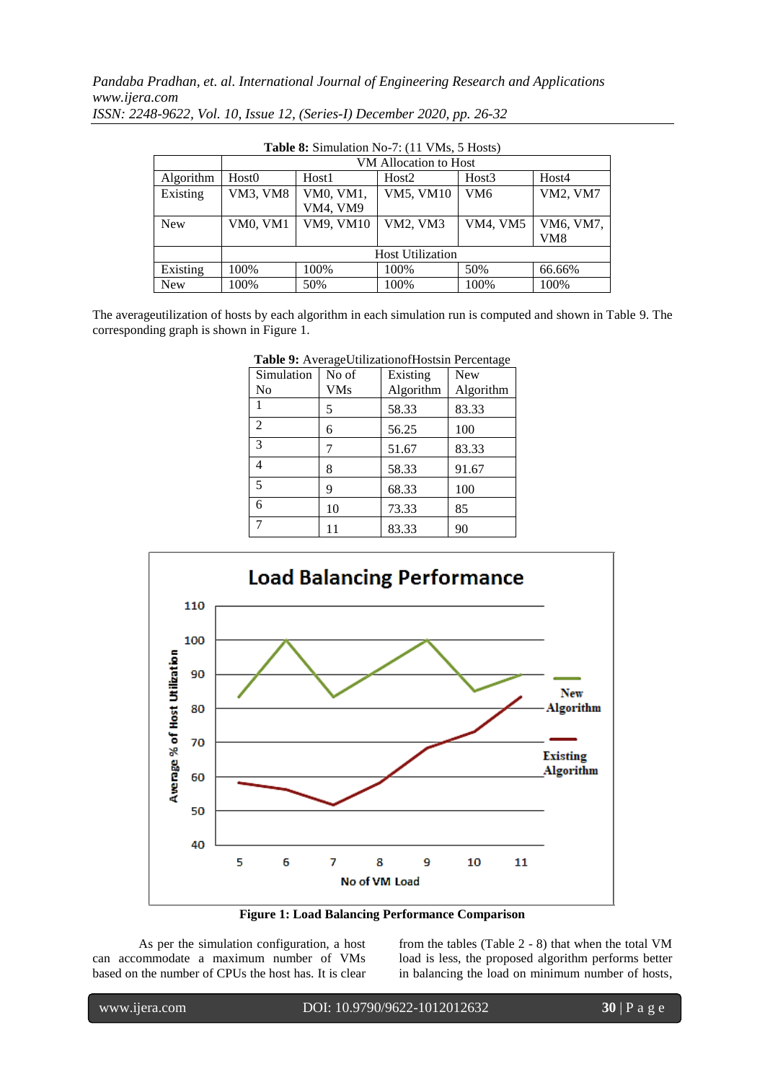*Pandaba Pradhan, et. al. International Journal of Engineering Research and Applications www.ijera.com*

| <b>Table 8:</b> Simulation No-7: (11 VMs, 5 Hosts) |                         |           |                       |                 |                 |  |
|----------------------------------------------------|-------------------------|-----------|-----------------------|-----------------|-----------------|--|
|                                                    |                         |           | VM Allocation to Host |                 |                 |  |
| Algorithm                                          | Host <sub>0</sub>       | Host1     | Host <sub>2</sub>     | Host3           | Host4           |  |
| Existing                                           | <b>VM3, VM8</b>         | VM0, VM1, | VM5, VM10             | VM <sub>6</sub> | <b>VM2, VM7</b> |  |
|                                                    |                         | VM4, VM9  |                       |                 |                 |  |
| <b>New</b>                                         | VM0, VM1                | VM9, VM10 | VM2, VM3              | VM4, VM5        | VM6, VM7,       |  |
|                                                    |                         |           |                       |                 | VM8             |  |
|                                                    | <b>Host Utilization</b> |           |                       |                 |                 |  |
| Existing                                           | 100%                    | 100%      | 100%                  | 50%             | 66.66%          |  |
| <b>New</b>                                         | 100%                    | 50%       | 100%                  | 100%            | 100%            |  |

*ISSN: 2248-9622, Vol. 10, Issue 12, (Series-I) December 2020, pp. 26-32*

The averageutilization of hosts by each algorithm in each simulation run is computed and shown in Table 9. The corresponding graph is shown in Figure 1.

| Simulation<br>No | No of<br><b>VMs</b> | <b>Tuble</b> 2.11. crage e threationormously 1 creentage<br>Existing<br>Algorithm | <b>New</b><br>Algorithm |
|------------------|---------------------|-----------------------------------------------------------------------------------|-------------------------|
|                  | 5                   | 58.33                                                                             | 83.33                   |
| 2                | 6                   | 56.25                                                                             | 100                     |
| $\mathcal{R}$    |                     | 51.67                                                                             | 83.33                   |
| 4                | 8                   | 58.33                                                                             | 91.67                   |
| 5                | 9                   | 68.33                                                                             | 100                     |
| 6                | 10                  | 73.33                                                                             | 85                      |
|                  | 11                  | 83.33                                                                             | 90                      |

**Table 9:** AverageUtilizationofHostsin Percentage



**Figure 1: Load Balancing Performance Comparison**

As per the simulation configuration, a host can accommodate a maximum number of VMs based on the number of CPUs the host has. It is clear

from the tables (Table 2 - 8) that when the total VM load is less, the proposed algorithm performs better in balancing the load on minimum number of hosts,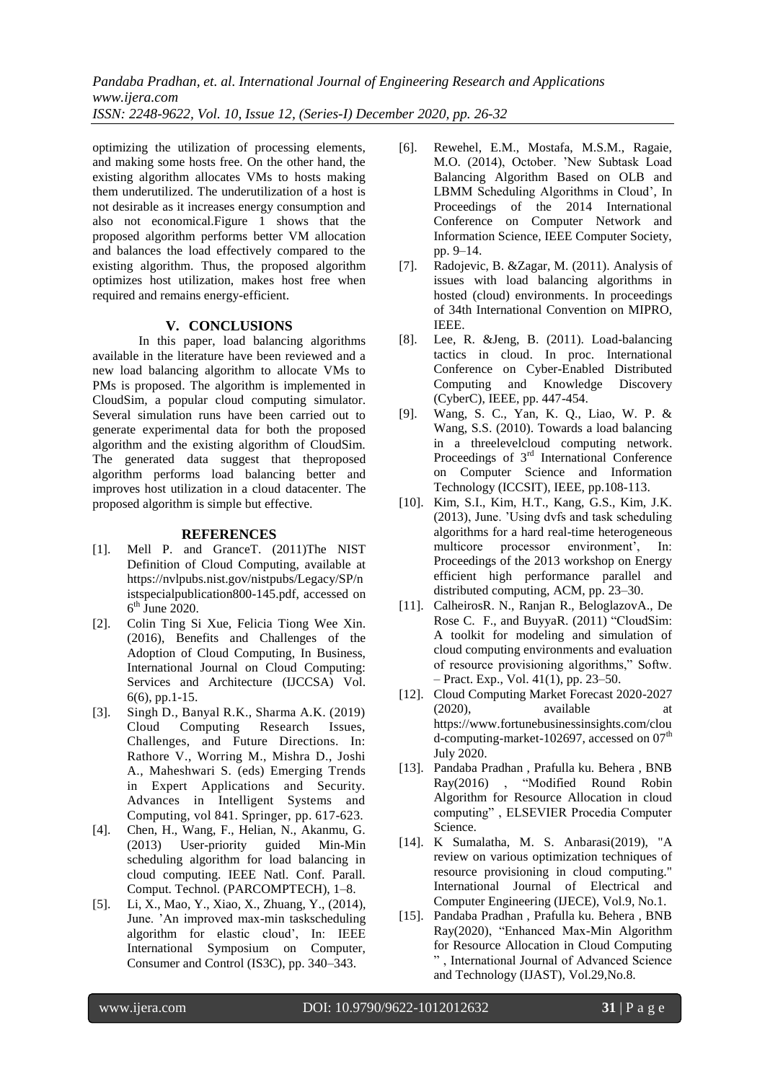*Pandaba Pradhan, et. al. International Journal of Engineering Research and Applications www.ijera.com ISSN: 2248-9622, Vol. 10, Issue 12, (Series-I) December 2020, pp. 26-32*

optimizing the utilization of processing elements, and making some hosts free. On the other hand, the existing algorithm allocates VMs to hosts making them underutilized. The underutilization of a host is not desirable as it increases energy consumption and also not economical.Figure 1 shows that the proposed algorithm performs better VM allocation and balances the load effectively compared to the existing algorithm. Thus, the proposed algorithm optimizes host utilization, makes host free when required and remains energy-efficient.

#### **V. CONCLUSIONS**

In this paper, load balancing algorithms available in the literature have been reviewed and a new load balancing algorithm to allocate VMs to PMs is proposed. The algorithm is implemented in CloudSim, a popular cloud computing simulator. Several simulation runs have been carried out to generate experimental data for both the proposed algorithm and the existing algorithm of CloudSim. The generated data suggest that theproposed algorithm performs load balancing better and improves host utilization in a cloud datacenter. The proposed algorithm is simple but effective.

#### **REFERENCES**

- [1]. Mell P. and GranceT. (2011)The NIST Definition of Cloud Computing, available at https://nvlpubs.nist.gov/nistpubs/Legacy/SP/n istspecialpublication800-145.pdf, accessed on  $6<sup>th</sup>$  June 2020.
- [2]. Colin Ting Si Xue, Felicia Tiong Wee Xin. (2016), Benefits and Challenges of the Adoption of Cloud Computing, In Business, International Journal on Cloud Computing: Services and Architecture (IJCCSA) Vol. 6(6), pp.1-15.
- [3]. Singh D., Banyal R.K., Sharma A.K. (2019) Cloud Computing Research Issues, Challenges, and Future Directions. In: Rathore V., Worring M., Mishra D., Joshi A., Maheshwari S. (eds) Emerging Trends in Expert Applications and Security. Advances in Intelligent Systems and Computing, vol 841. Springer, pp. 617-623.
- [4]. Chen, H., Wang, F., Helian, N., Akanmu, G. (2013) User-priority guided Min-Min scheduling algorithm for load balancing in cloud computing. IEEE Natl. Conf. Parall. Comput. Technol. (PARCOMPTECH), 1–8.
- [5]. Li, X., Mao, Y., Xiao, X., Zhuang, Y., (2014), June. 'An improved max-min taskscheduling algorithm for elastic cloud', In: IEEE International Symposium on Computer, Consumer and Control (IS3C), pp. 340–343.
- [6]. Rewehel, E.M., Mostafa, M.S.M., Ragaie, M.O. (2014), October. 'New Subtask Load Balancing Algorithm Based on OLB and LBMM Scheduling Algorithms in Cloud', In Proceedings of the 2014 International Conference on Computer Network and Information Science, IEEE Computer Society, pp. 9–14.
- [7]. Radojevic, B. &Zagar, M. (2011). Analysis of issues with load balancing algorithms in hosted (cloud) environments. In proceedings of 34th International Convention on MIPRO, IEEE.
- [8]. Lee, R. &Jeng, B. (2011). Load-balancing tactics in cloud. In proc. International Conference on Cyber-Enabled Distributed Computing and Knowledge Discovery (CyberC), IEEE, pp. 447-454.
- [9]. Wang, S. C., Yan, K. Q., Liao, W. P. & Wang, S.S. (2010). Towards a load balancing in a threelevelcloud computing network. Proceedings of 3<sup>rd</sup> International Conference on Computer Science and Information Technology (ICCSIT), IEEE, pp.108-113.
- [10]. Kim, S.I., Kim, H.T., Kang, G.S., Kim, J.K. (2013), June. 'Using dvfs and task scheduling algorithms for a hard real-time heterogeneous multicore processor environment', In: Proceedings of the 2013 workshop on Energy efficient high performance parallel and distributed computing, ACM, pp. 23–30.
- [11]. CalheirosR. N., Ranjan R., BeloglazovA., De Rose C. F., and BuyyaR. (2011) "CloudSim: A toolkit for modeling and simulation of cloud computing environments and evaluation of resource provisioning algorithms," Softw. – Pract. Exp., Vol. 41(1), pp. 23–50.
- [12]. Cloud Computing Market Forecast 2020-2027 (2020), available at https://www.fortunebusinessinsights.com/clou d-computing-market-102697, accessed on  $07<sup>th</sup>$ July 2020.
- [13]. Pandaba Pradhan , Prafulla ku. Behera , BNB Ray(2016) , "Modified Round Robin Algorithm for Resource Allocation in cloud computing" , ELSEVIER Procedia Computer Science.
- [14]. K Sumalatha, M. S. Anbarasi(2019), "A review on various optimization techniques of resource provisioning in cloud computing." International Journal of Electrical and Computer Engineering (IJECE), Vol.9, No.1.
- [15]. Pandaba Pradhan , Prafulla ku. Behera , BNB Ray(2020), "Enhanced Max-Min Algorithm for Resource Allocation in Cloud Computing " , International Journal of Advanced Science and Technology (IJAST), Vol.29,No.8.